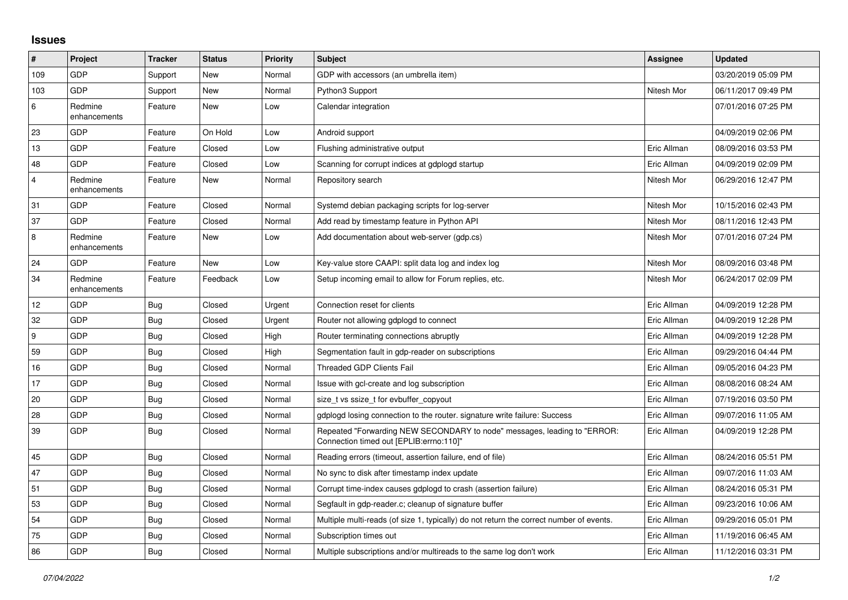## **Issues**

| $\sharp$       | Project                 | <b>Tracker</b> | <b>Status</b> | <b>Priority</b> | <b>Subject</b>                                                                                                      | Assignee    | <b>Updated</b>      |
|----------------|-------------------------|----------------|---------------|-----------------|---------------------------------------------------------------------------------------------------------------------|-------------|---------------------|
| 109            | GDP                     | Support        | New           | Normal          | GDP with accessors (an umbrella item)                                                                               |             | 03/20/2019 05:09 PM |
| 103            | <b>GDP</b>              | Support        | <b>New</b>    | Normal          | Python3 Support                                                                                                     | Nitesh Mor  | 06/11/2017 09:49 PM |
| 6              | Redmine<br>enhancements | Feature        | New           | Low             | Calendar integration                                                                                                |             | 07/01/2016 07:25 PM |
| 23             | GDP                     | Feature        | On Hold       | Low             | Android support                                                                                                     |             | 04/09/2019 02:06 PM |
| 13             | <b>GDP</b>              | Feature        | Closed        | Low             | Flushing administrative output                                                                                      | Eric Allman | 08/09/2016 03:53 PM |
| 48             | GDP                     | Feature        | Closed        | Low             | Scanning for corrupt indices at gdplogd startup                                                                     | Eric Allman | 04/09/2019 02:09 PM |
| $\overline{4}$ | Redmine<br>enhancements | Feature        | New           | Normal          | Repository search                                                                                                   | Nitesh Mor  | 06/29/2016 12:47 PM |
| 31             | <b>GDP</b>              | Feature        | Closed        | Normal          | Systemd debian packaging scripts for log-server                                                                     | Nitesh Mor  | 10/15/2016 02:43 PM |
| 37             | GDP                     | Feature        | Closed        | Normal          | Add read by timestamp feature in Python API                                                                         | Nitesh Mor  | 08/11/2016 12:43 PM |
| $\,8\,$        | Redmine<br>enhancements | Feature        | New           | Low             | Add documentation about web-server (gdp.cs)                                                                         | Nitesh Mor  | 07/01/2016 07:24 PM |
| 24             | <b>GDP</b>              | Feature        | New           | Low             | Key-value store CAAPI: split data log and index log                                                                 | Nitesh Mor  | 08/09/2016 03:48 PM |
| 34             | Redmine<br>enhancements | Feature        | Feedback      | Low             | Setup incoming email to allow for Forum replies, etc.                                                               | Nitesh Mor  | 06/24/2017 02:09 PM |
| 12             | GDP                     | Bug            | Closed        | Urgent          | Connection reset for clients                                                                                        | Eric Allman | 04/09/2019 12:28 PM |
| 32             | GDP                     | Bug            | Closed        | Urgent          | Router not allowing gdplogd to connect                                                                              | Eric Allman | 04/09/2019 12:28 PM |
| 9              | GDP                     | <b>Bug</b>     | Closed        | High            | Router terminating connections abruptly                                                                             | Eric Allman | 04/09/2019 12:28 PM |
| 59             | <b>GDP</b>              | <b>Bug</b>     | Closed        | High            | Segmentation fault in gdp-reader on subscriptions                                                                   | Eric Allman | 09/29/2016 04:44 PM |
| 16             | GDP                     | <b>Bug</b>     | Closed        | Normal          | <b>Threaded GDP Clients Fail</b>                                                                                    | Eric Allman | 09/05/2016 04:23 PM |
| 17             | GDP                     | Bug            | Closed        | Normal          | Issue with gcl-create and log subscription                                                                          | Eric Allman | 08/08/2016 08:24 AM |
| 20             | <b>GDP</b>              | Bug            | Closed        | Normal          | size t vs ssize t for evbuffer copyout                                                                              | Eric Allman | 07/19/2016 03:50 PM |
| 28             | GDP                     | <b>Bug</b>     | Closed        | Normal          | gdplogd losing connection to the router, signature write failure: Success                                           | Eric Allman | 09/07/2016 11:05 AM |
| 39             | GDP                     | Bug            | Closed        | Normal          | Repeated "Forwarding NEW SECONDARY to node" messages, leading to "ERROR:<br>Connection timed out [EPLIB:errno:110]" | Eric Allman | 04/09/2019 12:28 PM |
| 45             | GDP                     | <b>Bug</b>     | Closed        | Normal          | Reading errors (timeout, assertion failure, end of file)                                                            | Eric Allman | 08/24/2016 05:51 PM |
| 47             | GDP                     | Bug            | Closed        | Normal          | No sync to disk after timestamp index update                                                                        | Eric Allman | 09/07/2016 11:03 AM |
| 51             | GDP                     | Bug            | Closed        | Normal          | Corrupt time-index causes gdplogd to crash (assertion failure)                                                      | Eric Allman | 08/24/2016 05:31 PM |
| 53             | GDP                     | Bug            | Closed        | Normal          | Segfault in gdp-reader.c; cleanup of signature buffer                                                               | Eric Allman | 09/23/2016 10:06 AM |
| 54             | GDP                     | Bug            | Closed        | Normal          | Multiple multi-reads (of size 1, typically) do not return the correct number of events.                             | Eric Allman | 09/29/2016 05:01 PM |
| 75             | GDP                     | Bug            | Closed        | Normal          | Subscription times out                                                                                              | Eric Allman | 11/19/2016 06:45 AM |
| 86             | <b>GDP</b>              | <b>Bug</b>     | Closed        | Normal          | Multiple subscriptions and/or multireads to the same log don't work                                                 | Eric Allman | 11/12/2016 03:31 PM |